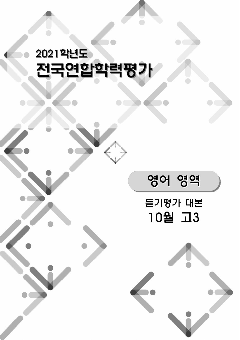# 2021학년도 전국연합학력평가

# 듣기평가 대본 10월 고3

영어 영역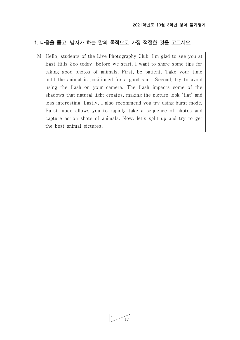# 1. 다음을 듣고, 남자가 하는 말의 목적으로 가장 적절한 것을 고르시오.

M: Hello, students of the Live Photography Club. I'm glad to see you at East Hills Zoo today. Before we start, I want to share some tips for taking good photos of animals. First, be patient. Take your time until the animal is positioned for a good shot. Second, try to avoid using the flash on your camera. The flash impacts some of the shadows that natural light creates, making the picture look "flat" and less interesting. Lastly, I also recommend you try using burst mode. Burst mode allows you to rapidly take a sequence of photos and capture action shots of animals. Now, let's split up and try to get the best animal pictures.

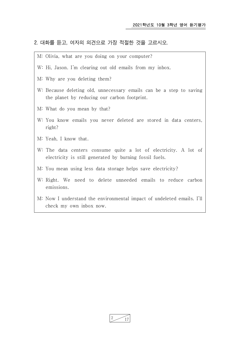#### 2. 대화를 듣고, 여자의 의견으로 가장 적절한 것을 고르시오.

- M: Olivia, what are you doing on your computer?
- W: Hi, Jason. I'm clearing out old emails from my inbox.
- M: Why are you deleting them?
- W: Because deleting old, unnecessary emails can be a step to saving the planet by reducing our carbon footprint.
- M: What do you mean by that?
- W: You know emails you never deleted are stored in data centers, right?
- M: Yeah, I know that.
- W: The data centers consume quite a lot of electricity. A lot of electricity is still generated by burning fossil fuels.
- M: You mean using less data storage helps save electricity?
- W: Right. We need to delete unneeded emails to reduce carbon emissions.
- M: Now I understand the environmental impact of undeleted emails. I'll check my own inbox now.

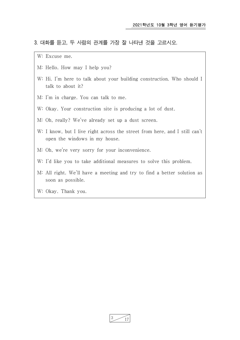## 3. 대화를 듣고, 두 사람의 관계를 가장 잘 나타낸 것을 고르시오.

W: Excuse me.

- M: Hello. How may I help you?
- W: Hi. I'm here to talk about your building construction. Who should I talk to about it?
- M: I'm in charge. You can talk to me.
- W: Okay. Your construction site is producing a lot of dust.
- M: Oh, really? We've already set up a dust screen.
- W: I know, but I live right across the street from here, and I still can't open the windows in my house.
- M: Oh, we're very sorry for your inconvenience.
- W: I'd like you to take additional measures to solve this problem.
- M: All right. We'll have a meeting and try to find a better solution as soon as possible.
- W: Okay. Thank you.

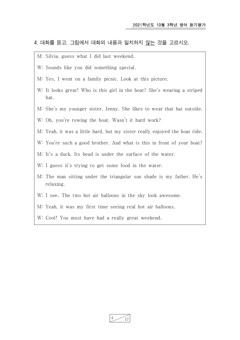# 4. 대화를 듣고, 그림에서 대화의 내용과 일치하지 않는 것을 고르시오.

- M: Silvia, guess what I did last weekend.
- W: Sounds like you did something special.
- M: Yes, I went on a family picnic. Look at this picture.
- W: It looks great! Who is this girl in the boat? She's wearing a striped hat.
- M: She's my younger sister, Jenny. She likes to wear that hat outside.
- W: Oh, you're rowing the boat. Wasn't it hard work?
- M: Yeah, it was a little hard, but my sister really enjoyed the boat ride.
- W: You're such a good brother. And what is this in front of your boat?
- M: It's a duck. Its head is under the surface of the water.
- W: I guess it's trying to get some food in the water.
- M: The man sitting under the triangular sun shade is my father. He's relaxing.
- W: I see. The two hot air balloons in the sky look awesome.
- M: Yeah, it was my first time seeing real hot air balloons.
- W: Cool! You must have had a really great weekend.

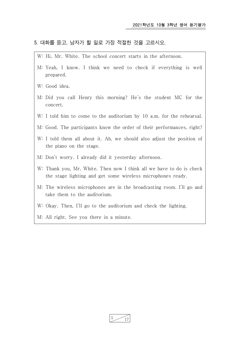#### 5. 대화를 듣고, 남자가 할 일로 가장 적절한 것을 고르시오.

- W: Hi, Mr. White. The school concert starts in the afternoon.
- M: Yeah, I know. I think we need to check if everything is well prepared.
- W: Good idea.
- M: Did you call Henry this morning? He's the student MC for the concert.
- W: I told him to come to the auditorium by 10 a.m. for the rehearsal.
- M: Good. The participants know the order of their performances, right?
- W: I told them all about it. Ah, we should also adjust the position of the piano on the stage.
- M: Don't worry. I already did it yesterday afternoon.
- W: Thank you, Mr. White. Then now I think all we have to do is check the stage lighting and get some wireless microphones ready.
- M: The wireless microphones are in the broadcasting room. I'll go and take them to the auditorium.
- W: Okay. Then, I'll go to the auditorium and check the lighting.
- M: All right. See you there in a minute.

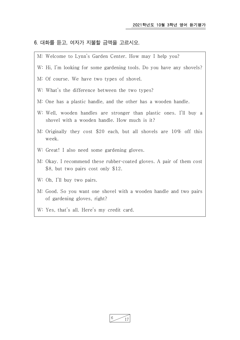#### 6. 대화를 듣고, 여자가 지불할 금액을 고르시오.

- M: Welcome to Lynn's Garden Center. How may I help you?
- W: Hi, I'm looking for some gardening tools. Do you have any shovels?
- M: Of course. We have two types of shovel.
- W: What's the difference between the two types?
- M: One has a plastic handle, and the other has a wooden handle.
- W: Well, wooden handles are stronger than plastic ones. I'll buy a shovel with a wooden handle. How much is it?
- M: Originally they cost \$20 each, but all shovels are 10% off this week.
- W: Great! I also need some gardening gloves.
- M: Okay. I recommend these rubber-coated gloves. A pair of them cost \$8, but two pairs cost only \$12.
- W: Oh, I'll buy two pairs.
- M: Good. So you want one shovel with a wooden handle and two pairs of gardening gloves, right?
- W: Yes, that's all. Here's my credit card.

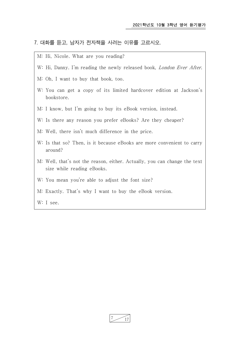#### 7. 대화를 듣고, 남자가 전자책을 사려는 이유를 고르시오.

- M: Hi, Nicole. What are you reading?
- W: Hi, Danny. I'm reading the newly released book, *London Ever After*.
- M: Oh, I want to buy that book, too.
- W: You can get a copy of its limited hardcover edition at Jackson's bookstore.
- M: I know, but I'm going to buy its eBook version, instead.
- W: Is there any reason you prefer eBooks? Are they cheaper?
- M: Well, there isn't much difference in the price.
- W: Is that so? Then, is it because eBooks are more convenient to carry around?
- M: Well, that's not the reason, either. Actually, you can change the text size while reading eBooks.
- W: You mean you're able to adjust the font size?
- M: Exactly. That's why I want to buy the eBook version.

W: I see.

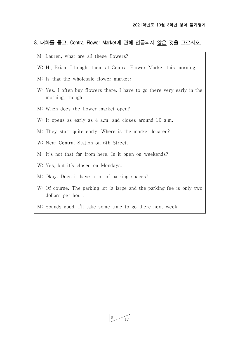## 8. 대화를 듣고, Central Flower Market에 관해 언급되지 않은 것을 고르시오.

- M: Lauren, what are all these flowers?
- W: Hi, Brian. I bought them at Central Flower Market this morning.
- M: Is that the wholesale flower market?
- W: Yes. I often buy flowers there. I have to go there very early in the morning, though.
- M: When does the flower market open?
- W: It opens as early as 4 a.m. and closes around 10 a.m.
- M: They start quite early. Where is the market located?
- W: Near Central Station on 6th Street.
- M: It's not that far from here. Is it open on weekends?
- W: Yes, but it's closed on Mondays.
- M: Okay. Does it have a lot of parking spaces?
- W: Of course. The parking lot is large and the parking fee is only two dollars per hour.
- M: Sounds good. I'll take some time to go there next week.

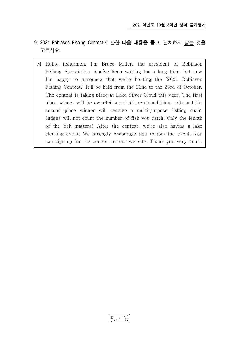- 9. 2021 Robinson Fishing Contest에 관한 다음 내용을 듣고, 일치하지 않는 것을 고르시오.
	- M: Hello, fishermen. I'm Bruce Miller, the president of Robinson Fishing Association. You've been waiting for a long time, but now I'm happy to announce that we're hosting the '2021 Robinson Fishing Contest.' It'll be held from the 22nd to the 23rd of October. The contest is taking place at Lake Silver Cloud this year. The first place winner will be awarded a set of premium fishing rods and the second place winner will receive a multi-purpose fishing chair. Judges will not count the number of fish you catch. Only the length of the fish matters! After the contest, we're also having a lake cleaning event. We strongly encourage you to join the event. You can sign up for the contest on our website. Thank you very much.

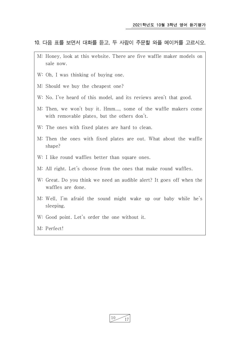# 10. 다음 표를 보면서 대화를 듣고, 두 사람이 주문할 와플 메이커를 고르시오.

- M: Honey, look at this website. There are five waffle maker models on sale now.
- W: Oh, I was thinking of buying one.
- M: Should we buy the cheapest one?
- W: No. I've heard of this model, and its reviews aren't that good.
- M: Then, we won't buy it. Hmm..., some of the waffle makers come with removable plates, but the others don't.
- W: The ones with fixed plates are hard to clean.
- M: Then the ones with fixed plates are out. What about the waffle shape?
- W: I like round waffles better than square ones.
- M: All right. Let's choose from the ones that make round waffles.
- W: Great. Do you think we need an audible alert? It goes off when the waffles are done.
- M: Well, I'm afraid the sound might wake up our baby while he's sleeping.
- W: Good point. Let's order the one without it.
- M: Perfect!

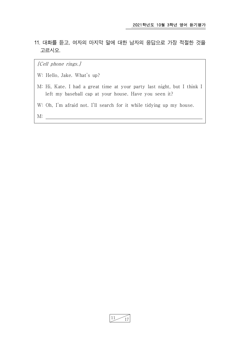11. 대화를 듣고, 여자의 마지막 말에 대한 남자의 응답으로 가장 적절한 것을 고르시오.

[Cell phone rings.]

- W: Hello, Jake. What's up?
- M: Hi, Kate. I had a great time at your party last night, but I think I left my baseball cap at your house. Have you seen it?
- W: Oh, I'm afraid not. I'll search for it while tidying up my house.

M:

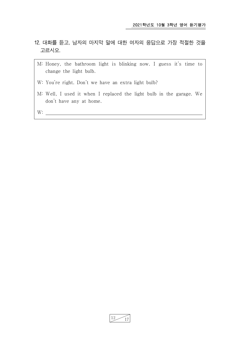- 12. 대화를 듣고, 남자의 마지막 말에 대한 여자의 응답으로 가장 적절한 것을 고르시오.
	- M: Honey, the bathroom light is blinking now. I guess it's time to change the light bulb.
	- W: You're right. Don't we have an extra light bulb?
	- M: Well, I used it when I replaced the light bulb in the garage. We don't have any at home.

W:

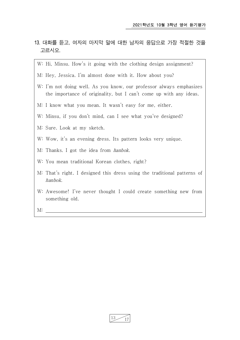- 13. 대화를 듣고, 여자의 마지막 말에 대한 남자의 응답으로 가장 적절한 것을 고르시오.
	- W: Hi, Minsu. How's it going with the clothing design assignment?
	- M: Hey, Jessica. I'm almost done with it. How about you?
	- W: I'm not doing well. As you know, our professor always emphasizes the importance of originality, but I can't come up with any ideas.
	- M: I know what you mean. It wasn't easy for me, either.
	- W: Minsu, if you don't mind, can I see what you've designed?
	- M: Sure. Look at my sketch.
	- W: Wow, it's an evening dress. Its pattern looks very unique.
	-
	- M: Thanks. I got the idea from *hanbok*.<br>W: You mean traditional Korean clothes, right?
	- M: That's right. I designed this dress using the traditional patterns of hanbok.<br>W: Awesome! I've never thought I could create something new from
	- something old.

M:

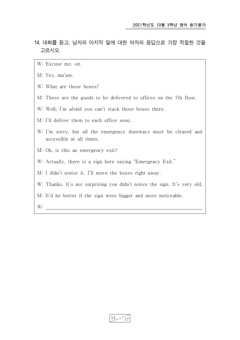- 14. 대화를 듣고, 남자의 마지막 말에 대한 여자의 응답으로 가장 적절한 것을 고르시오.
	- W: Excuse me, sir.
	- M: Yes, ma'am.
	- W: What are those boxes?
	- M: These are the goods to be delivered to offices on the 7th floor.
	- W: Well, I'm afraid you can't stack those boxes there.
	- M: I'll deliver them to each office soon.
	- W: I'm sorry, but all the emergency doorways must be cleared and accessible at all times.
	- M: Oh, is this an emergency exit?
	- W: Actually, there is a sign here saying "Emergency Exit."
	- M: I didn't notice it. I'll move the boxes right away.
	- W: Thanks. It's not surprising you didn't notice the sign. It's very old.
	- M: It'd be better if the sign were bigger and more noticeable.

W:

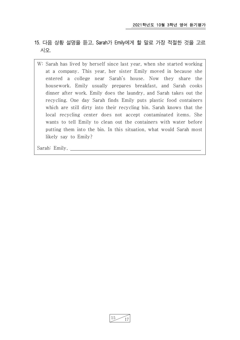- 15. 다음 상황 설명을 듣고, Sarah가 Emily에게 할 말로 가장 적절한 것을 고르 시오.
	- W: Sarah has lived by herself since last year, when she started working at a company. This year, her sister Emily moved in because she entered a college near Sarah's house. Now they share the housework. Emily usually prepares breakfast, and Sarah cooks dinner after work. Emily does the laundry, and Sarah takes out the recycling. One day Sarah finds Emily puts plastic food containers which are still dirty into their recycling bin. Sarah knows that the local recycling center does not accept contaminated items. She wants to tell Emily to clean out the containers with water before putting them into the bin. In this situation, what would Sarah most likely say to Emily?

Sarah: Emily,

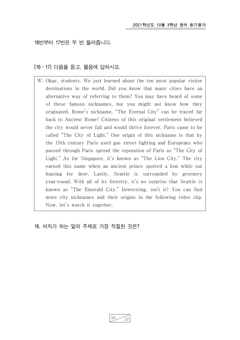16번부터 17번은 두 번 들려줍니다.

[16 ~ 17] 다음을 듣고, 물음에 답하시오.

W: Okay, students. We just learned about the ten most popular visitor destinations in the world. Did you know that many cities have an alternative way of referring to them? You may have heard of some of these famous nicknames, but you might not know how they originated. Rome's nickname, "The Eternal City" can be traced far back to Ancient Rome! Citizens of this original settlement believed the city would never fall and would thrive forever. Paris came to be called "The City of Light." One origin of this nickname is that by the 19th century Paris used gas street lighting and Europeans who passed through Paris spread the reputation of Paris as "The City of Light." As for Singapore, it's known as "The Lion City." The city earned this name when an ancient prince spotted a lion while out hunting for deer. Lastly, Seattle is surrounded by greenery year-round. With all of its forestry, it's no surprise that Seattle is known as "The Emerald City." Interesting, isn't it? You can find more city nicknames and their origins in the following video clip. Now, let's watch it together.

16. 여자가 하는 말의 주제로 가장 적절한 것은?